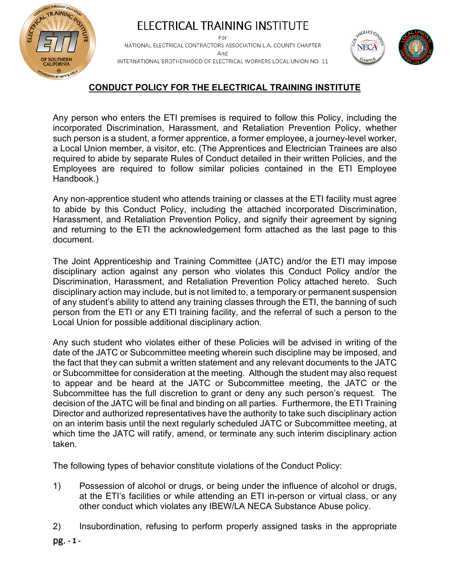

#### ELECTRICAL TRAINING INSTITUTE For NATIONAL ELECTRICAL CONTRACTORS ASSOCIATION L.A. COUNTY CHAPTER And INTERNATIONAL BROTHERHOOD OF ELECTRICAL WORKERS LOCAL UNION NO. 11



# **CONDUCT POLICY FOR THE ELECTRICAL TRAINING INSTITUTE**

Any person who enters the ETI premises is required to follow this Policy, including the incorporated Discrimination, Harassment, and Retaliation Prevention Policy, whether such person is a student, a former apprentice, a former employee, a journey-level worker, a Local Union member, a visitor, etc. (The Apprentices and Electrician Trainees are also required to abide by separate Rules of Conduct detailed in their written Policies, and the Employees are required to follow similar policies contained in the ETI Employee Handbook.)

Any non-apprentice student who attends training or classes at the ETI facility must agree to abide by this Conduct Policy, including the attached incorporated Discrimination, Harassment, and Retaliation Prevention Policy, and signify their agreement by signing and returning to the ETI the acknowledgement form attached as the last page to this document.

The Joint Apprenticeship and Training Committee (JATC) and/or the ETI may impose disciplinary action against any person who violates this Conduct Policy and/or the Discrimination, Harassment, and Retaliation Prevention Policy attached hereto. Such disciplinary action may include, but is not limited to, a temporary or permanent suspension of any student's ability to attend any training classes through the ETI, the banning of such person from the ETI or any ETI training facility, and the referral of such a person to the Local Union for possible additional disciplinary action.

Any such student who violates either of these Policies will be advised in writing of the date of the JATC or Subcommittee meeting wherein such discipline may be imposed, and the fact that they can submit a written statement and any relevant documents to the JATC or Subcommittee for consideration at the meeting. Although the student may also request to appear and be heard at the JATC or Subcommittee meeting, the JATC or the Subcommittee has the full discretion to grant or deny any such person's request. The decision of the JATC will be final and binding on all parties. Furthermore, the ETI Training Director and authorized representatives have the authority to take such disciplinary action on an interim basis until the next regularly scheduled JATC or Subcommittee meeting, at which time the JATC will ratify, amend, or terminate any such interim disciplinary action taken.

The following types of behavior constitute violations of the Conduct Policy:

- 1) Possession of alcohol or drugs, or being under the influence of alcohol or drugs, at the ETI's facilities or while attending an ETI in-person or virtual class, or any other conduct which violates any IBEW/LA NECA Substance Abuse policy.
- 2) Insubordination, refusing to perform properly assigned tasks in the appropriate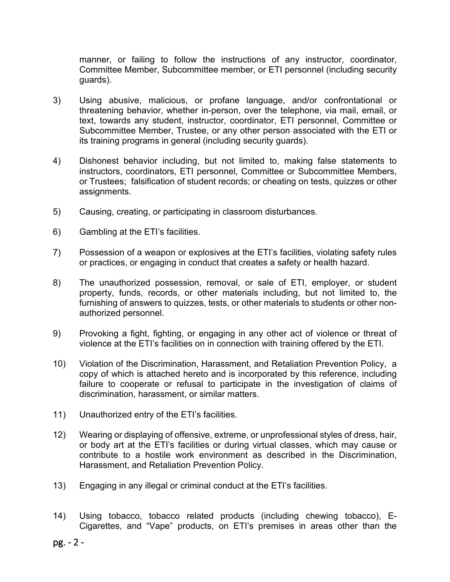manner, or failing to follow the instructions of any instructor, coordinator, Committee Member, Subcommittee member, or ETI personnel (including security guards).

- 3) Using abusive, malicious, or profane language, and/or confrontational or threatening behavior, whether in-person, over the telephone, via mail, email, or text, towards any student, instructor, coordinator, ETI personnel, Committee or Subcommittee Member, Trustee, or any other person associated with the ETI or its training programs in general (including security guards).
- 4) Dishonest behavior including, but not limited to, making false statements to instructors, coordinators, ETI personnel, Committee or Subcommittee Members, or Trustees; falsification of student records; or cheating on tests, quizzes or other assignments.
- 5) Causing, creating, or participating in classroom disturbances.
- 6) Gambling at the ETI's facilities.
- 7) Possession of a weapon or explosives at the ETI's facilities, violating safety rules or practices, or engaging in conduct that creates a safety or health hazard.
- 8) The unauthorized possession, removal, or sale of ETI, employer, or student property, funds, records, or other materials including, but not limited to, the furnishing of answers to quizzes, tests, or other materials to students or other nonauthorized personnel.
- 9) Provoking a fight, fighting, or engaging in any other act of violence or threat of violence at the ETI's facilities on in connection with training offered by the ETI.
- 10) Violation of the Discrimination, Harassment, and Retaliation Prevention Policy, a copy of which is attached hereto and is incorporated by this reference, including failure to cooperate or refusal to participate in the investigation of claims of discrimination, harassment, or similar matters.
- 11) Unauthorized entry of the ETI's facilities.
- 12) Wearing or displaying of offensive, extreme, or unprofessional styles of dress, hair, or body art at the ETI's facilities or during virtual classes, which may cause or contribute to a hostile work environment as described in the Discrimination, Harassment, and Retaliation Prevention Policy.
- 13) Engaging in any illegal or criminal conduct at the ETI's facilities.
- 14) Using tobacco, tobacco related products (including chewing tobacco), E-Cigarettes, and "Vape" products, on ETI's premises in areas other than the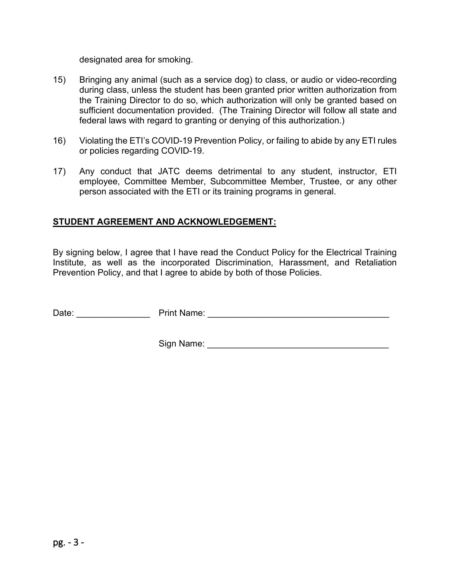designated area for smoking.

- 15) Bringing any animal (such as a service dog) to class, or audio or video-recording during class, unless the student has been granted prior written authorization from the Training Director to do so, which authorization will only be granted based on sufficient documentation provided. (The Training Director will follow all state and federal laws with regard to granting or denying of this authorization.)
- 16) Violating the ETI's COVID-19 Prevention Policy, or failing to abide by any ETI rules or policies regarding COVID-19.
- 17) Any conduct that JATC deems detrimental to any student, instructor, ETI employee, Committee Member, Subcommittee Member, Trustee, or any other person associated with the ETI or its training programs in general.

#### **STUDENT AGREEMENT AND ACKNOWLEDGEMENT:**

By signing below, I agree that I have read the Conduct Policy for the Electrical Training Institute, as well as the incorporated Discrimination, Harassment, and Retaliation Prevention Policy, and that I agree to abide by both of those Policies.

Date: \_\_\_\_\_\_\_\_\_\_\_\_\_\_\_ Print Name: \_\_\_\_\_\_\_\_\_\_\_\_\_\_\_\_\_\_\_\_\_\_\_\_\_\_\_\_\_\_\_\_\_\_\_\_\_

Sign Name:  $\Box$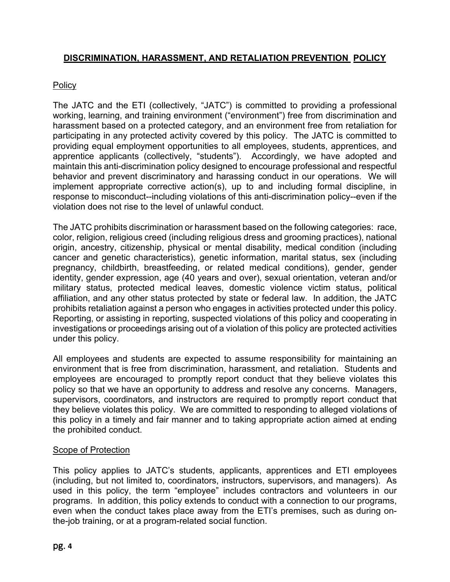## **DISCRIMINATION, HARASSMENT, AND RETALIATION PREVENTION POLICY**

## Policy

The JATC and the ETI (collectively, "JATC") is committed to providing a professional working, learning, and training environment ("environment") free from discrimination and harassment based on a protected category, and an environment free from retaliation for participating in any protected activity covered by this policy. The JATC is committed to providing equal employment opportunities to all employees, students, apprentices, and apprentice applicants (collectively, "students"). Accordingly, we have adopted and maintain this anti-discrimination policy designed to encourage professional and respectful behavior and prevent discriminatory and harassing conduct in our operations. We will implement appropriate corrective action(s), up to and including formal discipline, in response to misconduct--including violations of this anti-discrimination policy--even if the violation does not rise to the level of unlawful conduct.

The JATC prohibits discrimination or harassment based on the following categories: race, color, religion, religious creed (including religious dress and grooming practices), national origin, ancestry, citizenship, physical or mental disability, medical condition (including cancer and genetic characteristics), genetic information, marital status, sex (including pregnancy, childbirth, breastfeeding, or related medical conditions), gender, gender identity, gender expression, age (40 years and over), sexual orientation, veteran and/or military status, protected medical leaves, domestic violence victim status, political affiliation, and any other status protected by state or federal law. In addition, the JATC prohibits retaliation against a person who engages in activities protected under this policy. Reporting, or assisting in reporting, suspected violations of this policy and cooperating in investigations or proceedings arising out of a violation of this policy are protected activities under this policy.

All employees and students are expected to assume responsibility for maintaining an environment that is free from discrimination, harassment, and retaliation. Students and employees are encouraged to promptly report conduct that they believe violates this policy so that we have an opportunity to address and resolve any concerns. Managers, supervisors, coordinators, and instructors are required to promptly report conduct that they believe violates this policy. We are committed to responding to alleged violations of this policy in a timely and fair manner and to taking appropriate action aimed at ending the prohibited conduct.

## Scope of Protection

This policy applies to JATC's students, applicants, apprentices and ETI employees (including, but not limited to, coordinators, instructors, supervisors, and managers). As used in this policy, the term "employee" includes contractors and volunteers in our programs. In addition, this policy extends to conduct with a connection to our programs, even when the conduct takes place away from the ETI's premises, such as during onthe-job training, or at a program-related social function.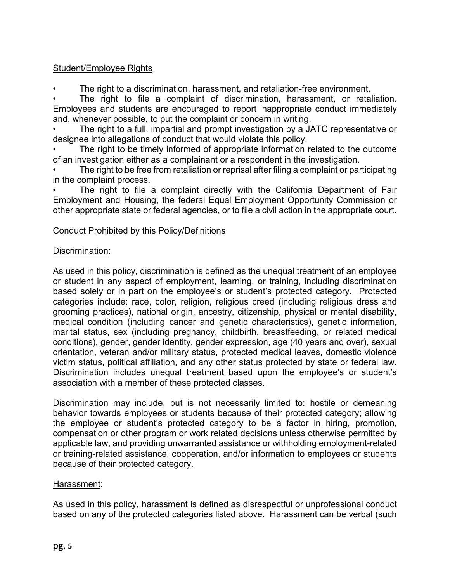## Student/Employee Rights

• The right to a discrimination, harassment, and retaliation-free environment.

The right to file a complaint of discrimination, harassment, or retaliation. Employees and students are encouraged to report inappropriate conduct immediately and, whenever possible, to put the complaint or concern in writing.

• The right to a full, impartial and prompt investigation by a JATC representative or designee into allegations of conduct that would violate this policy.

The right to be timely informed of appropriate information related to the outcome of an investigation either as a complainant or a respondent in the investigation.

The right to be free from retaliation or reprisal after filing a complaint or participating in the complaint process.

The right to file a complaint directly with the California Department of Fair Employment and Housing, the federal Equal Employment Opportunity Commission or other appropriate state or federal agencies, or to file a civil action in the appropriate court.

## Conduct Prohibited by this Policy/Definitions

## Discrimination:

As used in this policy, discrimination is defined as the unequal treatment of an employee or student in any aspect of employment, learning, or training, including discrimination based solely or in part on the employee's or student's protected category. Protected categories include: race, color, religion, religious creed (including religious dress and grooming practices), national origin, ancestry, citizenship, physical or mental disability, medical condition (including cancer and genetic characteristics), genetic information, marital status, sex (including pregnancy, childbirth, breastfeeding, or related medical conditions), gender, gender identity, gender expression, age (40 years and over), sexual orientation, veteran and/or military status, protected medical leaves, domestic violence victim status, political affiliation, and any other status protected by state or federal law. Discrimination includes unequal treatment based upon the employee's or student's association with a member of these protected classes.

Discrimination may include, but is not necessarily limited to: hostile or demeaning behavior towards employees or students because of their protected category; allowing the employee or student's protected category to be a factor in hiring, promotion, compensation or other program or work related decisions unless otherwise permitted by applicable law, and providing unwarranted assistance or withholding employment-related or training-related assistance, cooperation, and/or information to employees or students because of their protected category.

## Harassment:

As used in this policy, harassment is defined as disrespectful or unprofessional conduct based on any of the protected categories listed above. Harassment can be verbal (such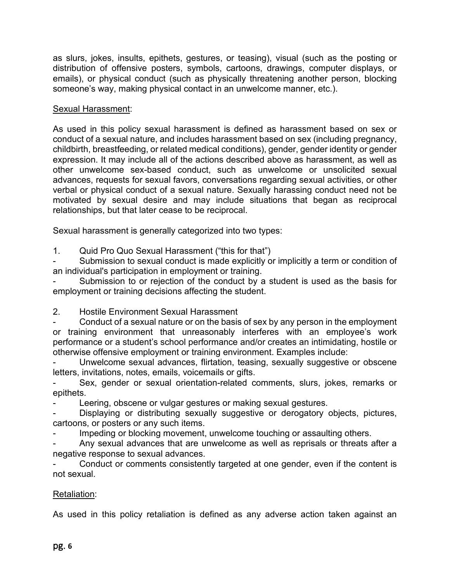as slurs, jokes, insults, epithets, gestures, or teasing), visual (such as the posting or distribution of offensive posters, symbols, cartoons, drawings, computer displays, or emails), or physical conduct (such as physically threatening another person, blocking someone's way, making physical contact in an unwelcome manner, etc.).

## Sexual Harassment:

As used in this policy sexual harassment is defined as harassment based on sex or conduct of a sexual nature, and includes harassment based on sex (including pregnancy, childbirth, breastfeeding, or related medical conditions), gender, gender identity or gender expression. It may include all of the actions described above as harassment, as well as other unwelcome sex-based conduct, such as unwelcome or unsolicited sexual advances, requests for sexual favors, conversations regarding sexual activities, or other verbal or physical conduct of a sexual nature. Sexually harassing conduct need not be motivated by sexual desire and may include situations that began as reciprocal relationships, but that later cease to be reciprocal.

Sexual harassment is generally categorized into two types:

1. Quid Pro Quo Sexual Harassment ("this for that")

Submission to sexual conduct is made explicitly or implicitly a term or condition of an individual's participation in employment or training.

Submission to or rejection of the conduct by a student is used as the basis for employment or training decisions affecting the student.

2. Hostile Environment Sexual Harassment

Conduct of a sexual nature or on the basis of sex by any person in the employment or training environment that unreasonably interferes with an employee's work performance or a student's school performance and/or creates an intimidating, hostile or otherwise offensive employment or training environment. Examples include:

Unwelcome sexual advances, flirtation, teasing, sexually suggestive or obscene letters, invitations, notes, emails, voicemails or gifts.

Sex, gender or sexual orientation-related comments, slurs, jokes, remarks or epithets.

Leering, obscene or vulgar gestures or making sexual gestures.

Displaying or distributing sexually suggestive or derogatory objects, pictures, cartoons, or posters or any such items.

Impeding or blocking movement, unwelcome touching or assaulting others.

Any sexual advances that are unwelcome as well as reprisals or threats after a negative response to sexual advances.

Conduct or comments consistently targeted at one gender, even if the content is not sexual.

## Retaliation:

As used in this policy retaliation is defined as any adverse action taken against an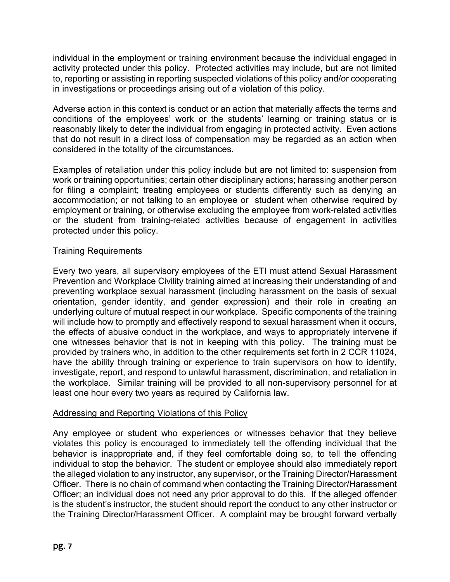individual in the employment or training environment because the individual engaged in activity protected under this policy. Protected activities may include, but are not limited to, reporting or assisting in reporting suspected violations of this policy and/or cooperating in investigations or proceedings arising out of a violation of this policy.

Adverse action in this context is conduct or an action that materially affects the terms and conditions of the employees' work or the students' learning or training status or is reasonably likely to deter the individual from engaging in protected activity. Even actions that do not result in a direct loss of compensation may be regarded as an action when considered in the totality of the circumstances.

Examples of retaliation under this policy include but are not limited to: suspension from work or training opportunities; certain other disciplinary actions; harassing another person for filing a complaint; treating employees or students differently such as denying an accommodation; or not talking to an employee or student when otherwise required by employment or training, or otherwise excluding the employee from work-related activities or the student from training-related activities because of engagement in activities protected under this policy.

## Training Requirements

Every two years, all supervisory employees of the ETI must attend Sexual Harassment Prevention and Workplace Civility training aimed at increasing their understanding of and preventing workplace sexual harassment (including harassment on the basis of sexual orientation, gender identity, and gender expression) and their role in creating an underlying culture of mutual respect in our workplace. Specific components of the training will include how to promptly and effectively respond to sexual harassment when it occurs, the effects of abusive conduct in the workplace, and ways to appropriately intervene if one witnesses behavior that is not in keeping with this policy. The training must be provided by trainers who, in addition to the other requirements set forth in 2 CCR 11024, have the ability through training or experience to train supervisors on how to identify, investigate, report, and respond to unlawful harassment, discrimination, and retaliation in the workplace. Similar training will be provided to all non-supervisory personnel for at least one hour every two years as required by California law.

## Addressing and Reporting Violations of this Policy

Any employee or student who experiences or witnesses behavior that they believe violates this policy is encouraged to immediately tell the offending individual that the behavior is inappropriate and, if they feel comfortable doing so, to tell the offending individual to stop the behavior. The student or employee should also immediately report the alleged violation to any instructor, any supervisor, or the Training Director/Harassment Officer. There is no chain of command when contacting the Training Director/Harassment Officer; an individual does not need any prior approval to do this. If the alleged offender is the student's instructor, the student should report the conduct to any other instructor or the Training Director/Harassment Officer. A complaint may be brought forward verbally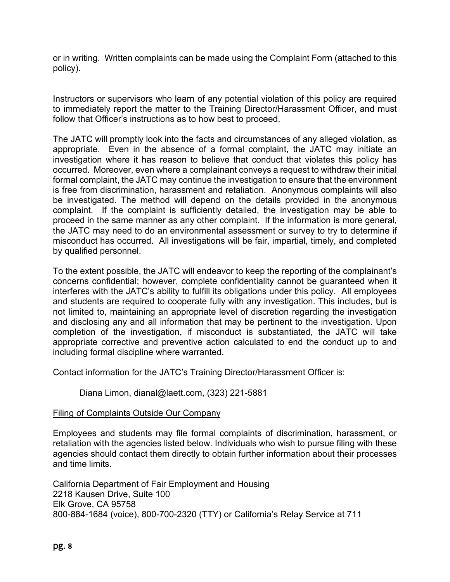or in writing. Written complaints can be made using the Complaint Form (attached to this policy).

Instructors or supervisors who learn of any potential violation of this policy are required to immediately report the matter to the Training Director/Harassment Officer, and must follow that Officer's instructions as to how best to proceed.

The JATC will promptly look into the facts and circumstances of any alleged violation, as appropriate. Even in the absence of a formal complaint, the JATC may initiate an investigation where it has reason to believe that conduct that violates this policy has occurred. Moreover, even where a complainant conveys a request to withdraw their initial formal complaint, the JATC may continue the investigation to ensure that the environment is free from discrimination, harassment and retaliation. Anonymous complaints will also be investigated. The method will depend on the details provided in the anonymous complaint. If the complaint is sufficiently detailed, the investigation may be able to proceed in the same manner as any other complaint. If the information is more general, the JATC may need to do an environmental assessment or survey to try to determine if misconduct has occurred. All investigations will be fair, impartial, timely, and completed by qualified personnel.

To the extent possible, the JATC will endeavor to keep the reporting of the complainant's concerns confidential; however, complete confidentiality cannot be guaranteed when it interferes with the JATC's ability to fulfill its obligations under this policy. All employees and students are required to cooperate fully with any investigation. This includes, but is not limited to, maintaining an appropriate level of discretion regarding the investigation and disclosing any and all information that may be pertinent to the investigation. Upon completion of the investigation, if misconduct is substantiated, the JATC will take appropriate corrective and preventive action calculated to end the conduct up to and including formal discipline where warranted.

Contact information for the JATC's Training Director/Harassment Officer is:

Diana Limon, dianal@laett.com, (323) 221-5881

#### Filing of Complaints Outside Our Company

Employees and students may file formal complaints of discrimination, harassment, or retaliation with the agencies listed below. Individuals who wish to pursue filing with these agencies should contact them directly to obtain further information about their processes and time limits.

California Department of Fair Employment and Housing 2218 Kausen Drive, Suite 100 Elk Grove, CA 95758 800-884-1684 (voice), 800-700-2320 (TTY) or California's Relay Service at 711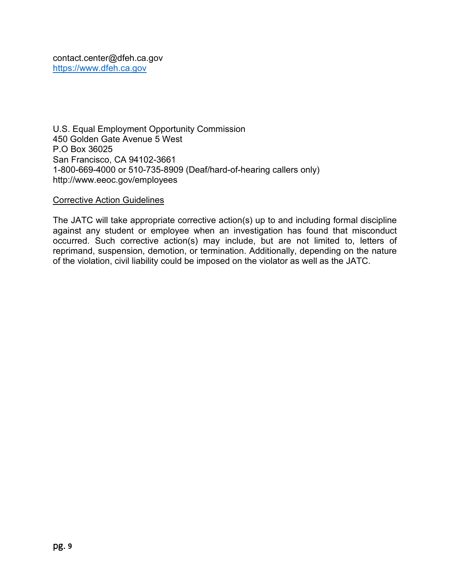U.S. Equal Employment Opportunity Commission 450 Golden Gate Avenue 5 West P.O Box 36025 San Francisco, CA 94102-3661 1-800-669-4000 or 510-735-8909 (Deaf/hard-of-hearing callers only) http://www.eeoc.gov/employees

#### Corrective Action Guidelines

The JATC will take appropriate corrective action(s) up to and including formal discipline against any student or employee when an investigation has found that misconduct occurred. Such corrective action(s) may include, but are not limited to, letters of reprimand, suspension, demotion, or termination. Additionally, depending on the nature of the violation, civil liability could be imposed on the violator as well as the JATC.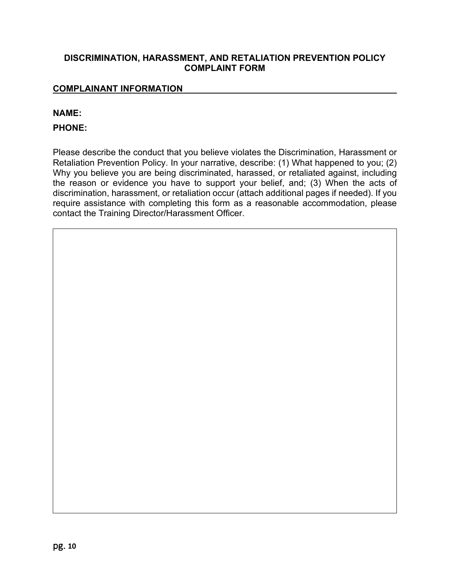#### **DISCRIMINATION, HARASSMENT, AND RETALIATION PREVENTION POLICY COMPLAINT FORM**

#### **COMPLAINANT INFORMATION**

#### **NAME:**

#### **PHONE:**

Please describe the conduct that you believe violates the Discrimination, Harassment or Retaliation Prevention Policy. In your narrative, describe: (1) What happened to you; (2) Why you believe you are being discriminated, harassed, or retaliated against, including the reason or evidence you have to support your belief, and; (3) When the acts of discrimination, harassment, or retaliation occur (attach additional pages if needed). If you require assistance with completing this form as a reasonable accommodation, please contact the Training Director/Harassment Officer.